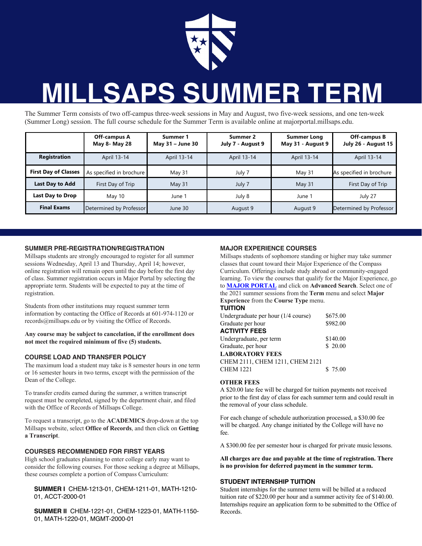

# **MILLSAPS SUMMER TERM**

The Summer Term consists of two off-campus three-week sessions in May and August, two five-week sessions, and one ten-week (Summer Long) session. The full course schedule for the Summer Term is available online at majorportal.millsaps.edu.

|                             | Off-campus A<br>May 8- May 28 | Summer 1<br>May 31 - June 30 | Summer 2<br>July 7 - August 9 | <b>Summer Long</b><br>May 31 - August 9 | Off-campus B<br>July 26 - August 15 |
|-----------------------------|-------------------------------|------------------------------|-------------------------------|-----------------------------------------|-------------------------------------|
| <b>Registration</b>         | April 13-14                   | April 13-14                  | April 13-14                   | April 13-14                             | April 13-14                         |
| <b>First Day of Classes</b> | As specified in brochure      | May 31                       | July 7                        | May 31                                  | As specified in brochure            |
| Last Day to Add             | First Day of Trip             | May $31$                     | July 7                        | May 31                                  | First Day of Trip                   |
| Last Day to Drop            | May 10                        | June 1                       | July 8                        | June 1                                  | July 27                             |
| <b>Final Exams</b>          | Determined by Professor       | June 30                      | August 9                      | August 9                                | Determined by Professor             |

#### **SUMMER PRE-REGISTRATION/REGISTRATION**

Millsaps students are strongly encouraged to register for all summer sessions Wednesday, April 13 and Thursday, April 14; however, online registration will remain open until the day before the first day of class. Summer registration occurs in Major Portal by selecting the appropriate term. Students will be expected to pay at the time of registration.

Students from other institutions may request summer term information by contacting the Office of Records at 601-974-1120 or records@millsaps.edu or by visiting the Office of Records.

**Any course may be subject to cancelation, if the enrollment does not meet the required minimum of five (5) students.**

# **COURSE LOAD AND TRANSFER POLICY**

The maximum load a student may take is 8 semester hours in one term or 16 semester hours in two terms, except with the permission of the Dean of the College.

To transfer credits earned during the summer, a written transcript request must be completed, signed by the department chair, and filed with the Office of Records of Millsaps College.

To request a transcript, go to the **ACADEMICS** drop-down at the top Millsaps website, select **Office of Records**, and then click on **Getting a Transcript**.

#### **COURSES RECOMMENDED FOR FIRST YEARS**

High school graduates planning to enter college early may want to consider the following courses. For those seeking a degree at Millsaps, these courses complete a portion of Compass Curriculum:

#### **SUMMER I** CHEM-1213-01, CHEM-1211-01, MATH-1210- 01, ACCT-2000-01

**SUMMER II** CHEM-1221-01, CHEM-1223-01, MATH-1150- 01, MATH-1220-01, MGMT-2000-01

# **MAJOR EXPERIENCE COURSES**

Millsaps students of sophomore standing or higher may take summer classes that count toward their Major Experience of the Compass Curriculum. Offerings include study abroad or community-engaged learning. To view the courses that qualify for the Major Experience, go to **MAJOR PORTAL** and click on **Advanced Search**. Select one of the 2021 summer sessions from the **Term** menu and select **Major Experience** from the **Course Type** menu.

### **TUITION**

| Undergraduate per hour (1/4 course) | \$675.00 |
|-------------------------------------|----------|
| Graduate per hour                   | \$982.00 |
| <b>ACTIVITY FEES</b>                |          |
| Undergraduate, per term             | \$140.00 |
| Graduate, per hour                  | \$20.00  |
| <b>LABORATORY FEES</b>              |          |
| CHEM 2111, CHEM 1211, CHEM 2121     |          |
| <b>CHEM 1221</b>                    | \$75.00  |

#### **OTHER FEES**

A \$20.00 late fee will be charged for tuition payments not received prior to the first day of class for each summer term and could result in the removal of your class schedule.

For each change of schedule authorization processed, a \$30.00 fee will be charged. Any change initiated by the College will have no fee.

A \$300.00 fee per semester hour is charged for private music lessons.

**All charges are due and payable at the time of registration. There is no provision for deferred payment in the summer term.**

# **STUDENT INTERNSHIP TUITION**

Student internships for the summer term will be billed at a reduced tuition rate of \$220.00 per hour and a summer activity fee of \$140.00. Internships require an application form to be submitted to the Office of Records.